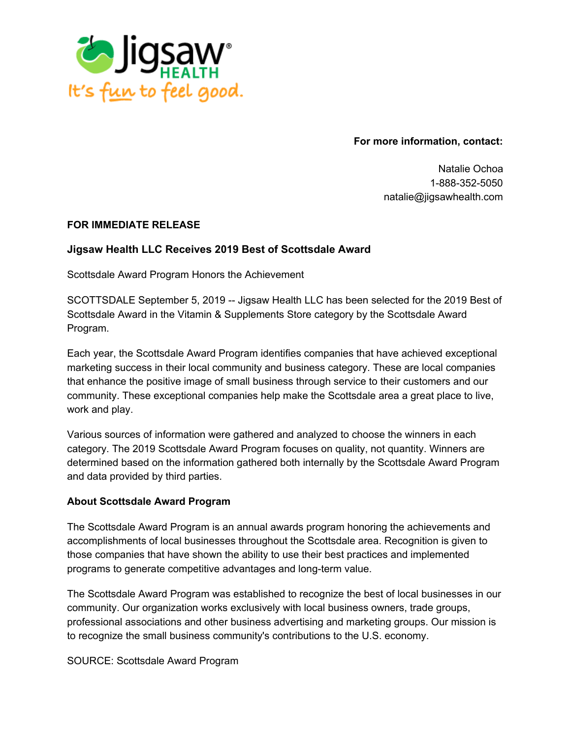

**For more information, contact:**

Natalie Ochoa 1-888-352-5050 natalie@jigsawhealth.com

## **FOR IMMEDIATE RELEASE**

## **Jigsaw Health LLC Receives 2019 Best of Scottsdale Award**

Scottsdale Award Program Honors the Achievement

SCOTTSDALE September 5, 2019 -- Jigsaw Health LLC has been selected for the 2019 Best of Scottsdale Award in the Vitamin & Supplements Store category by the Scottsdale Award Program.

Each year, the Scottsdale Award Program identifies companies that have achieved exceptional marketing success in their local community and business category. These are local companies that enhance the positive image of small business through service to their customers and our community. These exceptional companies help make the Scottsdale area a great place to live, work and play.

Various sources of information were gathered and analyzed to choose the winners in each category. The 2019 Scottsdale Award Program focuses on quality, not quantity. Winners are determined based on the information gathered both internally by the Scottsdale Award Program and data provided by third parties.

## **About Scottsdale Award Program**

The Scottsdale Award Program is an annual awards program honoring the achievements and accomplishments of local businesses throughout the Scottsdale area. Recognition is given to those companies that have shown the ability to use their best practices and implemented programs to generate competitive advantages and long-term value.

The Scottsdale Award Program was established to recognize the best of local businesses in our community. Our organization works exclusively with local business owners, trade groups, professional associations and other business advertising and marketing groups. Our mission is to recognize the small business community's contributions to the U.S. economy.

SOURCE: Scottsdale Award Program